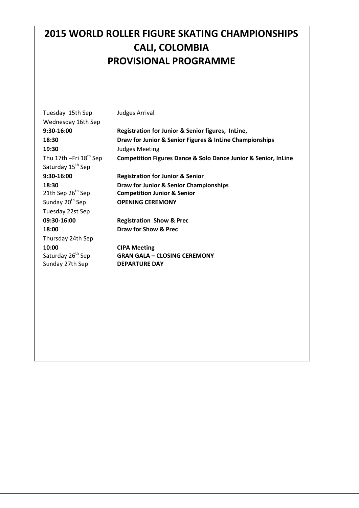## **2015 WORLD ROLLER FIGURE SKATING CHAMPIONSHIPS CALI, COLOMBIA PROVISIONAL PROGRAMME**

| Tuesday 15th Sep<br>Wednesday 16th Sep | Judges Arrival                                                                |
|----------------------------------------|-------------------------------------------------------------------------------|
| 9:30-16:00                             | Registration for Junior & Senior figures, InLine,                             |
| 18:30                                  | Draw for Junior & Senior Figures & InLine Championships                       |
| 19:30                                  | <b>Judges Meeting</b>                                                         |
| Thu 17th $-Fri$ 18 <sup>th</sup> Sep   | <b>Competition Figures Dance &amp; Solo Dance Junior &amp; Senior, InLine</b> |
| Saturday 15 <sup>th</sup> Sep          |                                                                               |
| 9:30-16:00                             | <b>Registration for Junior &amp; Senior</b>                                   |
| 18:30                                  | Draw for Junior & Senior Championships                                        |
| 21th Sep 26 <sup>th</sup> Sep          | <b>Competition Junior &amp; Senior</b>                                        |
| Sunday 20 <sup>th</sup> Sep            | <b>OPENING CEREMONY</b>                                                       |
| Tuesday 22st Sep                       |                                                                               |
| 09:30-16:00                            | <b>Registration Show &amp; Prec</b>                                           |
| 18:00                                  | Draw for Show & Prec                                                          |
| Thursday 24th Sep                      |                                                                               |
| 10:00                                  | <b>CIPA Meeting</b>                                                           |
| Saturday 26 <sup>th</sup> Sep          | <b>GRAN GALA - CLOSING CEREMONY</b>                                           |
| Sunday 27th Sep                        | <b>DEPARTURE DAY</b>                                                          |
|                                        |                                                                               |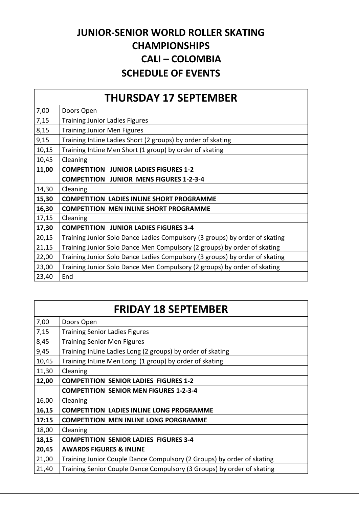### **JUNIOR-SENIOR WORLD ROLLER SKATING CHAMPIONSHIPS CALI – COLOMBIA SCHEDULE OF EVENTS**

| <b>THURSDAY 17 SEPTEMBER</b> |                                                                             |
|------------------------------|-----------------------------------------------------------------------------|
| 7,00                         | Doors Open                                                                  |
| 7,15                         | <b>Training Junior Ladies Figures</b>                                       |
| 8,15                         | <b>Training Junior Men Figures</b>                                          |
| 9,15                         | Training InLine Ladies Short (2 groups) by order of skating                 |
| 10,15                        | Training InLine Men Short (1 group) by order of skating                     |
| 10,45                        | Cleaning                                                                    |
| 11,00                        | <b>COMPETITION JUNIOR LADIES FIGURES 1-2</b>                                |
|                              | <b>COMPETITION JUNIOR MENS FIGURES 1-2-3-4</b>                              |
| 14,30                        | Cleaning                                                                    |
| 15,30                        | <b>COMPETITION LADIES INLINE SHORT PROGRAMME</b>                            |
| 16,30                        | <b>COMPETITION MEN INLINE SHORT PROGRAMME</b>                               |
| 17,15                        | Cleaning                                                                    |
| 17,30                        | <b>COMPETITION JUNIOR LADIES FIGURES 3-4</b>                                |
| 20,15                        | Training Junior Solo Dance Ladies Compulsory (3 groups) by order of skating |
| 21,15                        | Training Junior Solo Dance Men Compulsory (2 groups) by order of skating    |
| 22,00                        | Training Junior Solo Dance Ladies Compulsory (3 groups) by order of skating |
| 23,00                        | Training Junior Solo Dance Men Compulsory (2 groups) by order of skating    |
| 23,40                        | End                                                                         |

| <b>FRIDAY 18 SEPTEMBER</b> |                                                                        |
|----------------------------|------------------------------------------------------------------------|
| 7,00                       | Doors Open                                                             |
| 7,15                       | <b>Training Senior Ladies Figures</b>                                  |
| 8,45                       | <b>Training Senior Men Figures</b>                                     |
| 9,45                       | Training InLine Ladies Long (2 groups) by order of skating             |
| 10,45                      | Training InLine Men Long (1 group) by order of skating                 |
| 11,30                      | Cleaning                                                               |
| 12,00                      | <b>COMPETITION SENIOR LADIES FIGURES 1-2</b>                           |
|                            | <b>COMPETITION SENIOR MEN FIGURES 1-2-3-4</b>                          |
| 16,00                      | Cleaning                                                               |
| 16,15                      | <b>COMPETITION LADIES INLINE LONG PROGRAMME</b>                        |
| 17:15                      | <b>COMPETITION MEN INLINE LONG PORGRAMME</b>                           |
| 18,00                      | Cleaning                                                               |
| 18,15                      | <b>COMPETITION SENIOR LADIES FIGURES 3-4</b>                           |
| 20,45                      | <b>AWARDS FIGURES &amp; INLINE</b>                                     |
| 21,00                      | Training Junior Couple Dance Compulsory (2 Groups) by order of skating |
| 21,40                      | Training Senior Couple Dance Compulsory (3 Groups) by order of skating |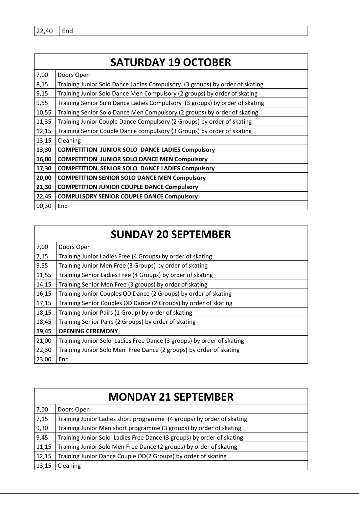$22,40$  End

# **SATURDAY 19 OCTOBER**

| 7,00  | Doors Open                                                                  |
|-------|-----------------------------------------------------------------------------|
| 8,15  | Training Junior Solo Dance Ladies Compulsory (3 groups) by order of skating |
| 9,15  | Training Junior Solo Dance Men Compulsory (2 groups) by order of skating    |
| 9,55  | Training Senior Solo Dance Ladies Compulsory (3 groups) by order of skating |
| 10,55 | Training Senior Solo Dance Men Compulsory (2 groups) by order of skating    |
| 11,35 | Training Junior Couple Dance Compulsory (2 Groups) by order of skating      |
| 12,15 | Training Senior Couple Dance compulsory (3 Groups) by order of skating      |
| 13,15 | Cleaning                                                                    |
| 13,30 | <b>COMPETITION JUNIOR SOLO DANCE LADIES Compulsory</b>                      |
| 16,00 | <b>COMPETITION JUNIOR SOLO DANCE MEN Compulsory</b>                         |
| 17,30 | <b>COMPETITION SENIOR SOLO DANCE LADIES Compulsory</b>                      |
| 20,00 | <b>COMPETITION SENIOR SOLO DANCE MEN Compulsory</b>                         |
| 21,30 | <b>COMPETITION JUNIOR COUPLE DANCE Compulsory</b>                           |
| 22,45 | <b>COMPULSORY SENIOR COUPLE DANCE Compulsory</b>                            |
| 00,30 | End                                                                         |

#### **SUNDAY 20 SEPTEMBER**

| 7,00  | Doors Open                                                            |
|-------|-----------------------------------------------------------------------|
| 7,15  | Training Junior Ladies Free (4 Groups) by order of skating            |
| 9,55  | Training Junior Men Free (3 Groups) by order of skating               |
| 11,55 | Training Senior Ladies Free (4 Groups) by order of skating            |
| 14,15 | Training Senior Men Free (3 groups) by order of skating               |
| 16,15 | Training Junior Couples OD Dance (2 Groups) by order of skating       |
| 17,15 | Training Senior Couples OD Dance (2 Groups) by order of skating       |
| 18,15 | Training Junior Pairs (1 Group) by order of skating                   |
| 18,45 | Training Senior Pairs (2 Groups) by order of skating                  |
| 19,45 | <b>OPENING CEREMONY</b>                                               |
| 21,00 | Training Junior Solo Ladies Free Dance (3 groups) by order of skating |
| 22,30 | Training Junior Solo Men Free Dance (2 groups) by order of skating    |
| 23,00 | End                                                                   |

|       | <b>MONDAY 21 SEPTEMBER</b>                                            |
|-------|-----------------------------------------------------------------------|
| 7,00  | Doors Open                                                            |
| 7,15  | Training Junior Ladies short programme (4 groups) by order of skating |
| 9,30  | Training Junior Men short programme (3 groups) by order of skating    |
| 9,45  | Training Junior Solo Ladies Free Dance (3 groups) by order of skating |
| 11,15 | Training Junior Solo Men Free Dance (2 groups) by order of skating    |
| 12,15 | Training Junior Dance Couple OD(2 Groups) by order of skating         |
| 13,15 | Cleaning                                                              |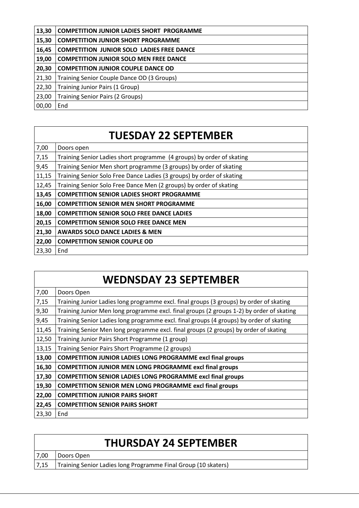| 13,30 | <b>COMPETITION JUNIOR LADIES SHORT PROGRAMME</b> |
|-------|--------------------------------------------------|
| 15,30 | <b>COMPETITION JUNIOR SHORT PROGRAMME</b>        |
| 16,45 | <b>COMPETITION JUNIOR SOLO LADIES FREE DANCE</b> |
| 19,00 | <b>COMPETITION JUNIOR SOLO MEN FREE DANCE</b>    |
| 20,30 | <b>COMPETITION JUNIOR COUPLE DANCE OD</b>        |
| 21,30 | Training Senior Couple Dance OD (3 Groups)       |
| 22,30 | Training Junior Pairs (1 Group)                  |
| 23,00 | <b>Training Senior Pairs (2 Groups)</b>          |
| 00,00 | End                                              |

# **TUESDAY 22 SEPTEMBER**

|       | <b>WEDNSDAY 23 SEPTEMBER</b>                                                             |
|-------|------------------------------------------------------------------------------------------|
| 7,00  | Doors Open                                                                               |
| 7,15  | Training Junior Ladies long programme excl. final groups (3 groups) by order of skating  |
| 9,30  | Training Junior Men long programme excl. final groups (2 groups 1-2) by order of skating |
| 9,45  | Training Senior Ladies long programme excl. final groups (4 groups) by order of skating  |
| 11,45 | Training Senior Men long programme excl. final groups (2 groups) by order of skating     |
| 12,50 | Training Junior Pairs Short Programme (1 group)                                          |
| 13,15 | Training Senior Pairs Short Programme (2 groups)                                         |
| 13,00 | <b>COMPETITION JUNIOR LADIES LONG PROGRAMME excl final groups</b>                        |
| 16,30 | <b>COMPETITION JUNIOR MEN LONG PROGRAMME excl final groups</b>                           |
| 17,30 | <b>COMPETITION SENIOR LADIES LONG PROGRAMME excl final groups</b>                        |
| 19,30 | <b>COMPETITION SENIOR MEN LONG PROGRAMME excl final groups</b>                           |
| 22,00 | <b>COMPETITION JUNIOR PAIRS SHORT</b>                                                    |
| 22,45 | <b>COMPETITION SENIOR PAIRS SHORT</b>                                                    |
| 23,30 | End                                                                                      |

|      | <b>THURSDAY 24 SEPTEMBER</b>                                          |
|------|-----------------------------------------------------------------------|
| 7,00 | Doors Open                                                            |
|      | 7,15   Training Senior Ladies long Programme Final Group (10 skaters) |